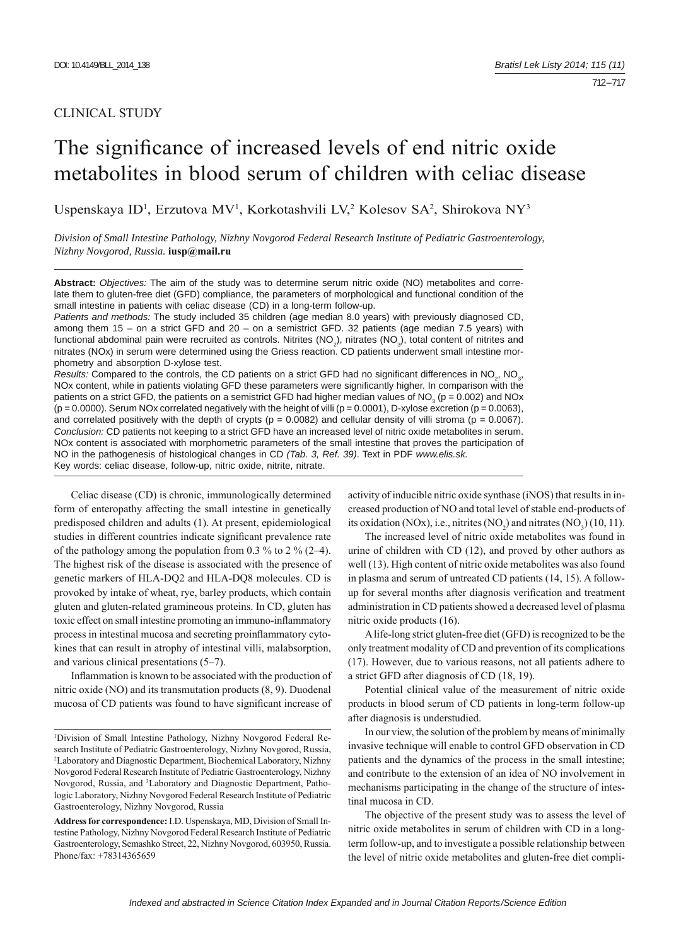## CLINICAL STUDY

# The significance of increased levels of end nitric oxide metabolites in blood serum of children with celiac disease

Uspenskaya ID<sup>1</sup>, Erzutova MV<sup>1</sup>, Korkotashvili LV,<sup>2</sup> Kolesov SA<sup>2</sup>, Shirokova NY<sup>3</sup>

*Division of Small Intestine Pathology, Nizhny Novgorod Federal Research Institute of Pediatric Gastroenterology, Nizhny Novgorod, Russia.* **iusp@mail.ru**

**Abstract:** *Objectives:* The aim of the study was to determine serum nitric oxide (NO) metabolites and correlate them to gluten-free diet (GFD) compliance, the parameters of morphological and functional condition of the small intestine in patients with celiac disease (CD) in a long-term follow-up.

*Patients and methods:* The study included 35 children (age median 8.0 years) with previously diagnosed CD, among them 15 – on a strict GFD and 20 – on a semistrict GFD. 32 patients (age median 7.5 years) with functional abdominal pain were recruited as controls. Nitrites (NO<sub>2</sub>), nitrates (NO<sub>3</sub>), total content of nitrites and nitrates (NOx) in serum were determined using the Griess reaction. CD patients underwent small intestine morphometry and absorption D-xylose test.

Results: Compared to the controls, the CD patients on a strict GFD had no significant differences in NO<sub>2</sub>, NO<sub>3</sub>, NOx content, while in patients violating GFD these parameters were significantly higher. In comparison with the patients on a strict GFD, the patients on a semistrict GFD had higher median values of NO<sub>3</sub> (p = 0.002) and NOx  $(p = 0.0000)$ . Serum NOx correlated negatively with the height of villi  $(p = 0.0001)$ , D-xylose excretion  $(p = 0.0063)$ , and correlated positively with the depth of crypts ( $p = 0.0082$ ) and cellular density of villi stroma ( $p = 0.0067$ ). *Conclusion:* CD patients not keeping to a strict GFD have an increased level of nitric oxide metabolites in serum. NOx content is associated with morphometric parameters of the small intestine that proves the participation of NO in the pathogenesis of histological changes in CD *(Tab. 3, Ref. 39)*. Text in PDF *www.elis.sk.* Key words: celiac disease, follow-up, nitric oxide, nitrite, nitrate.

Celiac disease (CD) is chronic, immunologically determined form of enteropathy affecting the small intestine in genetically predisposed children and adults (1). At present, epidemiological studies in different countries indicate significant prevalence rate of the pathology among the population from 0.3 % to 2 %  $(2-4)$ . The highest risk of the disease is associated with the presence of genetic markers of HLA-DQ2 and HLA-DQ8 molecules. CD is provoked by intake of wheat, rye, barley products, which contain gluten and gluten-related gramineous proteins. In CD, gluten has toxic effect on small intestine promoting an immuno-inflammatory process in intestinal mucosa and secreting proinflammatory cytokines that can result in atrophy of intestinal villi, malabsorption, and various clinical presentations (5–7).

Inflammation is known to be associated with the production of nitric oxide (NO) and its transmutation products (8, 9). Duodenal mucosa of CD patients was found to have significant increase of activity of inducible nitric oxide synthase (iNOS) that results in increased production of NO and total level of stable end-products of its oxidation (NOx), i.e., nitrites (NO<sub>2</sub>) and nitrates (NO<sub>3</sub>) (10, 11).

The increased level of nitric oxide metabolites was found in urine of children with CD (12), and proved by other authors as well (13). High content of nitric oxide metabolites was also found in plasma and serum of untreated CD patients (14, 15). A followup for several months after diagnosis verification and treatment administration in CD patients showed a decreased level of plasma nitric oxide products (16).

A life-long strict gluten-free diet ( GFD) is recognized to be the only treatment modality of CD and prevention of its complications (17). However, due to various reasons, not all patients adhere to a strict GFD after diagnosis of CD (18, 19).

Potential clinical value of the measurement of nitric oxide products in blood serum of CD patients in long-term follow-up after diagnosis is understudied.

In our view, the solution of the problem by means of minimally invasive technique will enable to control GFD observation in CD patients and the dynamics of the process in the small intestine; and contribute to the extension of an idea of NO involvement in mechanisms participating in the change of the structure of intestinal mucosa in CD.

The objective of the present study was to assess the level of nitric oxide metabolites in serum of children with CD in a longterm follow-up, and to investigate a possible relationship between the level of nitric oxide metabolites and gluten-free diet compli-

<sup>1</sup> Division of Small Intestine Pathology, Nizhny Novgorod Federal Research Institute of Pediatric Gastroenterology, Nizhny Novgorod, Russia, 2 Laboratory and Diagnostic Department, Biochemical Laboratory, Nizhny Novgorod Federal Research Institute of Pediatric Gastroenterology, Nizhny Novgorod, Russia, and 3 Laboratory and Diagnostic Department, Pathologic Laboratory, Nizhny Novgorod Federal Research Institute of Pediatric Gastroenterology, Nizhny Novgorod, Russia

**Address for correspondence:** I.D. Uspenskaya, MD, Division of Small Intestine Pathology, Nizhny Novgorod Federal Research Institute of Pediatric Gastroenterology, Semashko Street, 22, Nizhny Novgorod, 603950, Russia. Phone/fax: +78314365659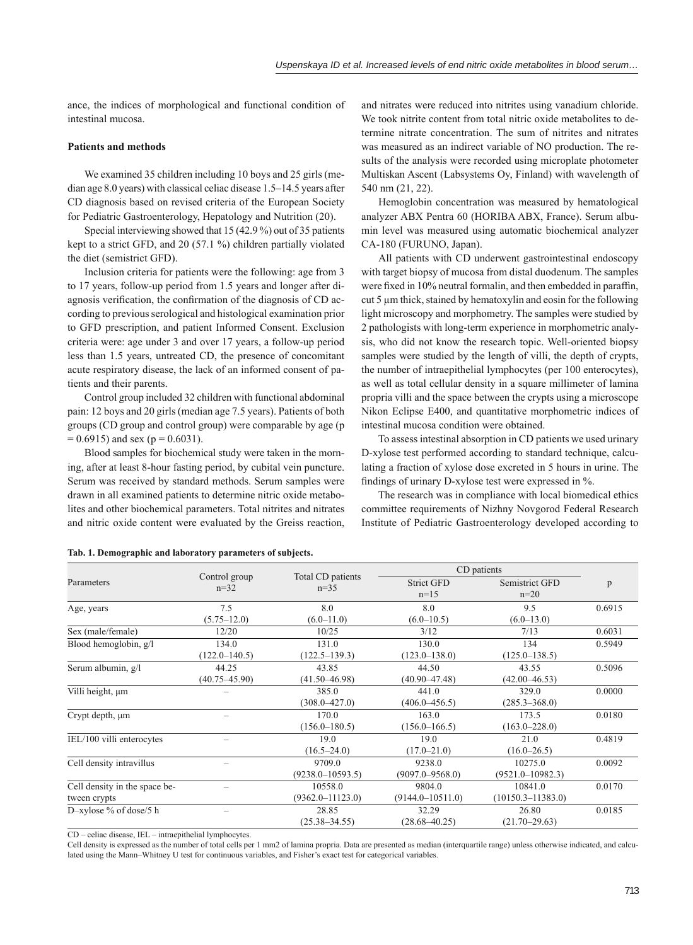ance, the indices of morphological and functional condition of intestinal mucosa.

## **Patients and methods**

We examined 35 children including 10 boys and 25 girls (median age 8.0 years) with classical celiac disease 1.5–14.5 years after CD diagnosis based on revised criteria of the European Society for Pediatric Gastroenterology, Hepatology and Nutrition (20).

Special interviewing showed that 15 (42.9 %) out of 35 patients kept to a strict GFD, and 20 (57.1 %) children partially violated the diet (semistrict GFD).

Inclusion criteria for patients were the following: age from 3 to 17 years, follow-up period from 1.5 years and longer after diagnosis verification, the confirmation of the diagnosis of CD according to previous serological and histological examination prior to GFD prescription, and patient Informed Consent. Exclusion criteria were: age under 3 and over 17 years, a follow-up period less than 1.5 years, untreated CD, the presence of concomitant acute respiratory disease, the lack of an informed consent of patients and their parents.

Control group included 32 children with functional abdominal pain: 12 boys and 20 girls (median age 7.5 years). Patients of both groups (CD group and control group) were comparable by age (p  $= 0.6915$ ) and sex (p = 0.6031).

Blood samples for biochemical study were taken in the morning, after at least 8-hour fasting period, by cubital vein puncture. Serum was received by standard methods. Serum samples were drawn in all examined patients to determine nitric oxide metabolites and other biochemical parameters. Total nitrites and nitrates and nitric oxide content were evaluated by the Greiss reaction,

and nitrates were reduced into nitrites using vanadium chloride. We took nitrite content from total nitric oxide metabolites to determine nitrate concentration. The sum of nitrites and nitrates was measured as an indirect variable of NO production. The results of the analysis were recorded using microplate photometer Multiskan Ascent (Labsystems Oy, Finland) with wavelength of 540 nm (21, 22).

Hemoglobin concentration was measured by hematological analyzer ABX Pentra 60 (HORIBA ABX, France). Serum albumin level was measured using automatic biochemical analyzer CA-180 (FURUNO, Japan).

All patients with CD underwent gastrointestinal endoscopy with target biopsy of mucosa from distal duodenum. The samples were fixed in  $10\%$  neutral formalin, and then embedded in paraffin. cut 5 μm thick, stained by hematoxylin and eosin for the following light microscopy and morphometry. The samples were studied by 2 pathologists with long-term experience in morphometric analysis, who did not know the research topic. Well-oriented biopsy samples were studied by the length of villi, the depth of crypts, the number of intraepithelial lymphocytes (per 100 enterocytes), as well as total cellular density in a square millimeter of lamina propria villi and the space between the crypts using a microscope Nikon Eclipse E400, and quantitative morphometric indices of intestinal mucosa condition were obtained.

To assess intestinal absorption in CD patients we used urinary D-xylose test performed according to standard technique, calculating a fraction of xylose dose excreted in 5 hours in urine. The findings of urinary D-xylose test were expressed in %.

The research was in compliance with local biomedical ethics committee requirements of Nizhny Novgorod Federal Research Institute of Pediatric Gastroenterology developed according to

|                               | Control group<br>$n=32$  | Total CD patients<br>$n=35$ | CD patients          |                       |        |
|-------------------------------|--------------------------|-----------------------------|----------------------|-----------------------|--------|
| Parameters                    |                          |                             | <b>Strict GFD</b>    | Semistrict GFD        | p      |
|                               |                          |                             | $n=15$               | $n=20$                |        |
| Age, years                    | 7.5                      | 8.0                         | 8.0                  | 9.5                   | 0.6915 |
|                               | $(5.75 - 12.0)$          | $(6.0 - 11.0)$              | $(6.0 - 10.5)$       | $(6.0 - 13.0)$        |        |
| Sex (male/female)             | 12/20                    | 10/25                       | 3/12                 | 7/13                  | 0.6031 |
| Blood hemoglobin, g/l         | 134.0                    | 131.0                       | 130.0                | 134                   | 0.5949 |
|                               | $(122.0 - 140.5)$        | $(122.5 - 139.3)$           | $(123.0 - 138.0)$    | $(125.0 - 138.5)$     |        |
| Serum albumin, g/l            | 44.25                    | 43.85                       | 44.50                | 43.55                 | 0.5096 |
|                               | $(40.75 - 45.90)$        | $(41.50 - 46.98)$           | $(40.90 - 47.48)$    | $(42.00 - 46.53)$     |        |
| Villi height, µm              |                          | 385.0                       | 441.0                | 329.0                 | 0.0000 |
|                               |                          | $(308.0 - 427.0)$           | $(406.0 - 456.5)$    | $(285.3 - 368.0)$     |        |
| Crypt depth, $\mu$ m          |                          | 170.0                       | 163.0                | 173.5                 | 0.0180 |
|                               |                          | $(156.0 - 180.5)$           | $(156.0 - 166.5)$    | $(163.0 - 228.0)$     |        |
| IEL/100 villi enterocytes     |                          | 19.0                        | 19.0                 | 21.0                  | 0.4819 |
|                               |                          | $(16.5 - 24.0)$             | $(17.0 - 21.0)$      | $(16.0 - 26.5)$       |        |
| Cell density intravillus      | $\overline{\phantom{0}}$ | 9709.0                      | 9238.0               | 10275.0               | 0.0092 |
|                               |                          | $(9238.0 - 10593.5)$        | $(9097.0 - 9568.0)$  | $(9521.0 - 10982.3)$  |        |
| Cell density in the space be- |                          | 10558.0                     | 9804.0               | 10841.0               | 0.0170 |
| tween crypts                  |                          | $(9362.0 - 11123.0)$        | $(9144.0 - 10511.0)$ | $(10150.3 - 11383.0)$ |        |
| D-xylose % of dose/5 h        |                          | 28.85                       | 32.29                | 26.80                 | 0.0185 |
|                               |                          | $(25.38 - 34.55)$           | $(28.68 - 40.25)$    | $(21.70 - 29.63)$     |        |

**Tab. 1. Demographic and laboratory parameters of subjects.**

CD – celiac disease, IEL – intraepithelial lymphocytes.

Cell density is expressed as the number of total cells per 1 mm2 of lamina propria. Data are presented as median (interquartile range) unless otherwise indicated, and calculated using the Mann–Whitney U test for continuous variables, and Fisher's exact test for categorical variables.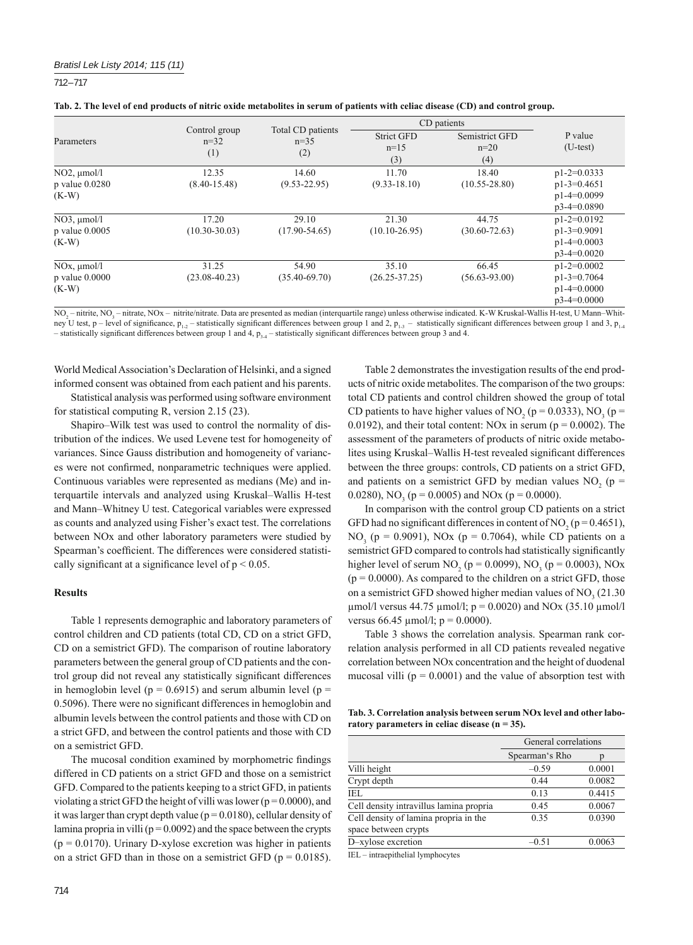712 – 717

|                                                      |                                |                                    | CD patients                        |                                 |                                                                  |
|------------------------------------------------------|--------------------------------|------------------------------------|------------------------------------|---------------------------------|------------------------------------------------------------------|
| Parameters                                           | Control group<br>$n=32$<br>(1) | Total CD patients<br>$n=35$<br>(2) | <b>Strict GFD</b><br>$n=15$<br>(3) | Semistrict GFD<br>$n=20$<br>(4) | P value<br>$(U-test)$                                            |
| $NO2$ , $\mu$ mol/l                                  | 12.35                          | 14.60                              | 11.70                              | 18.40                           | $p1-2=0.0333$                                                    |
| $p$ value $0.0280$<br>$(K-W)$                        | $(8.40 - 15.48)$               | $(9.53 - 22.95)$                   | $(9.33 - 18.10)$                   | $(10.55 - 28.80)$               | $p1-3=0.4651$<br>$p1-4=0.0099$<br>$p3-4=0.0890$                  |
| $NO3$ , $\mu$ mol/l<br>$p$ value $0.0005$<br>$(K-W)$ | 17.20<br>$(10.30 - 30.03)$     | 29.10<br>$(17.90 - 54.65)$         | 21.30<br>$(10.10 - 26.95)$         | 44.75<br>$(30.60 - 72.63)$      | $p1-2=0.0192$<br>$p1-3=0.9091$<br>$p1-4=0.0003$<br>$p3-4=0.0020$ |
| $NOx$ , $\mu$ mol/l<br>$p$ value $0.0000$<br>$(K-W)$ | 31.25<br>$(23.08 - 40.23)$     | 54.90<br>$(35.40 - 69.70)$         | 35.10<br>$(26.25 - 37.25)$         | 66.45<br>$(56.63 - 93.00)$      | $p1-2=0.0002$<br>$p1-3=0.7064$<br>$p1-4=0.0000$<br>$p3-4=0.0000$ |

 $NO_2$  – nitrite,  $NO_3$  – nitrate,  $NOx$  – nitrite/nitrate. Data are presented as median (interquartile range) unless otherwise indicated. K-W Kruskal-Wallis H-test, U Mann–Whitney U test, p – level of significance,  $p_{1,2}$  – statistically significant differences between group 1 and 2,  $p_{1,3}$  – statistically significant differences between group 1 and 3,  $p_{1,4}$ – statistically significant differences between group 1 and 4,  $p_{3-4}$  – statistically significant differences between group 3 and 4.

World Medical Association's Declaration of Helsinki, and a signed informed consent was obtained from each patient and his parents.

Statistical analysis was performed using software environment for statistical computing R, version  $2.15(23)$ .

Shapiro–Wilk test was used to control the normality of distribution of the indices. We used Levene test for homogeneity of variances. Since Gauss distribution and homogeneity of variances were not confirmed, nonparametric techniques were applied. Continuous variables were represented as medians (Me) and interquartile intervals and analyzed using Kruskal–Wallis H-test and Mann–Whitney U test. Categorical variables were expressed as counts and analyzed using Fisher's exact test. The correlations between NOx and other laboratory parameters were studied by Spearman's coefficient. The differences were considered statistically significant at a significance level of  $p < 0.05$ .

#### **Results**

Table 1 represents demographic and laboratory parameters of control children and CD patients (total CD, CD on a strict GFD, CD on a semistrict GFD). The comparison of routine laboratory parameters between the general group of CD patients and the control group did not reveal any statistically significant differences in hemoglobin level ( $p = 0.6915$ ) and serum albumin level ( $p =$ 0.5096). There were no significant differences in hemoglobin and albumin levels between the control patients and those with CD on a strict GFD, and between the control patients and those with CD on a semistrict GFD.

The mucosal condition examined by morphometric findings differed in CD patients on a strict GFD and those on a semistrict GFD. Compared to the patients keeping to a strict GFD, in patients violating a strict GFD the height of villi was lower ( $p = 0.0000$ ), and it was larger than crypt depth value ( $p = 0.0180$ ), cellular density of lamina propria in villi ( $p = 0.0092$ ) and the space between the crypts  $(p = 0.0170)$ . Urinary D-xylose excretion was higher in patients on a strict GFD than in those on a semistrict GFD ( $p = 0.0185$ ).

Table 2 demonstrates the investigation results of the end products of nitric oxide metabolites. The comparison of the two groups: total CD patients and control children showed the group of total CD patients to have higher values of NO<sub>2</sub> ( $p = 0.0333$ ), NO<sub>3</sub> ( $p =$ 0.0192), and their total content: NOx in serum ( $p = 0.0002$ ). The assessment of the parameters of products of nitric oxide metabolites using Kruskal–Wallis H-test revealed significant differences between the three groups: controls, CD patients on a strict GFD, and patients on a semistrict GFD by median values  $NO_2$  (p = 0.0280),  $NO_3$  ( $p = 0.0005$ ) and  $NOx$  ( $p = 0.0000$ ).

In comparison with the control group CD patients on a strict GFD had no significant differences in content of NO<sub>2</sub> ( $p = 0.4651$ ), NO<sub>3</sub> (p = 0.9091), NOx (p = 0.7064), while CD patients on a semistrict GFD compared to controls had statistically significantly higher level of serum NO<sub>2</sub> ( $p = 0.0099$ ), NO<sub>3</sub> ( $p = 0.0003$ ), NOx  $(p = 0.0000)$ . As compared to the children on a strict GFD, those on a semistrict GFD showed higher median values of  $NO<sub>3</sub>$  (21.30) μmol/l versus 44.75 μmol/l;  $p = 0.0020$ ) and NOx (35.10 μmol/l versus  $66.45 \text{ µmol/l}; p = 0.0000$ .

Table 3 shows the correlation analysis. Spearman rank correlation analysis performed in all CD patients revealed negative correlation between NOx concentration and the height of duodenal mucosal villi  $(p = 0.0001)$  and the value of absorption test with

**Tab. 3. Correlation analysis between serum NOx level and other laboratory parameters in celiac disease (n = 35).**

|                                         | General correlations |        |  |
|-----------------------------------------|----------------------|--------|--|
|                                         | Spearman's Rho       | p      |  |
| Villi height                            | $-0.59$              | 0.0001 |  |
| Crypt depth                             | 0.44                 | 0.0082 |  |
| IEL                                     | 0.13                 | 0.4415 |  |
| Cell density intravillus lamina propria | 0.45                 | 0.0067 |  |
| Cell density of lamina propria in the   | 0.35                 | 0.0390 |  |
| space between crypts                    |                      |        |  |
| D-xylose excretion                      | $-0.51$              | 0.0063 |  |
|                                         |                      |        |  |

IEL – intraepithelial lymphocytes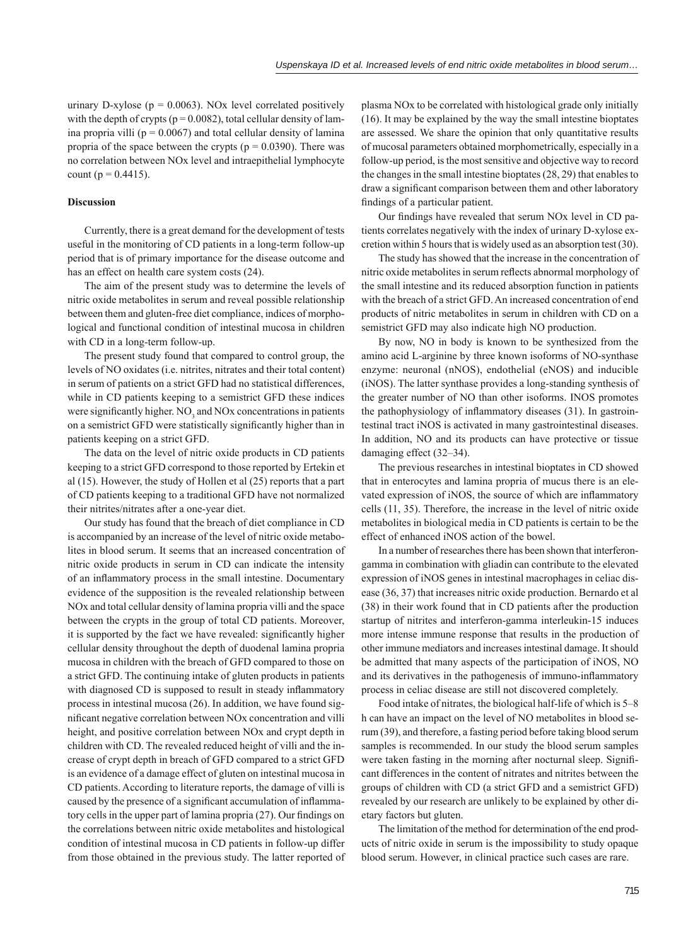urinary D-xylose ( $p = 0.0063$ ). NOx level correlated positively with the depth of crypts ( $p = 0.0082$ ), total cellular density of lamina propria villi ( $p = 0.0067$ ) and total cellular density of lamina propria of the space between the crypts ( $p = 0.0390$ ). There was no correlation between NOx level and intraepithelial lymphocyte count ( $p = 0.4415$ ).

#### **Discussion**

Currently, there is a great demand for the development of tests useful in the monitoring of CD patients in a long-term follow-up period that is of primary importance for the disease outcome and has an effect on health care system costs (24).

The aim of the present study was to determine the levels of nitric oxide metabolites in serum and reveal possible relationship between them and gluten-free diet compliance, indices of morphological and functional condition of intestinal mucosa in children with CD in a long-term follow-up.

The present study found that compared to control group, the levels of NO oxidates (i.e. nitrites, nitrates and their total content) in serum of patients on a strict GFD had no statistical differences, while in CD patients keeping to a semistrict GFD these indices were significantly higher.  $NO<sub>3</sub>$  and  $NOx$  concentrations in patients on a semistrict GFD were statistically significantly higher than in patients keeping on a strict GFD.

The data on the level of nitric oxide products in CD patients keeping to a strict GFD correspond to those reported by Ertekin et al (15). However, the study of Hollen et al (25) reports that a part of CD patients keeping to a traditional GFD have not normalized their nitrites/nitrates after a one-year diet.

Our study has found that the breach of diet compliance in CD is accompanied by an increase of the level of nitric oxide metabolites in blood serum. It seems that an increased concentration of nitric oxide products in serum in CD can indicate the intensity of an inflammatory process in the small intestine. Documentary evidence of the supposition is the revealed relationship between NOx and total cellular density of lamina propria villi and the space between the crypts in the group of total CD patients. Moreover, it is supported by the fact we have revealed: significantly higher cellular density throughout the depth of duodenal lamina propria mucosa in children with the breach of GFD compared to those on a strict GFD. The continuing intake of gluten products in patients with diagnosed CD is supposed to result in steady inflammatory process in intestinal mucosa (26). In addition, we have found significant negative correlation between NOx concentration and villi height, and positive correlation between NOx and crypt depth in children with CD. The revealed reduced height of villi and the increase of crypt depth in breach of GFD compared to a strict GFD is an evidence of a damage effect of gluten on intestinal mucosa in CD patients. According to literature reports, the damage of villi is caused by the presence of a significant accumulation of inflammatory cells in the upper part of lamina propria (27). Our findings on the correlations between nitric oxide metabolites and histological condition of intestinal mucosa in CD patients in follow-up differ from those obtained in the previous study. The latter reported of plasma NOx to be correlated with histological grade only initially (16). It may be explained by the way the small intestine bioptates are assessed. We share the opinion that only quantitative results of mucosal parameters obtained morphometrically, especially in a follow-up period, is the most sensitive and objective way to record the changes in the small intestine bioptates (28, 29) that enables to draw a significant comparison between them and other laboratory findings of a particular patient.

Our findings have revealed that serum NO<sub>x</sub> level in CD patients correlates negatively with the index of urinary D-xylose excretion within 5 hours that is widely used as an absorption test (30).

The study has showed that the increase in the concentration of nitric oxide metabolites in serum reflects abnormal morphology of the small intestine and its reduced absorption function in patients with the breach of a strict GFD. An increased concentration of end products of nitric metabolites in serum in children with CD on a semistrict GFD may also indicate high NO production.

By now, NO in body is known to be synthesized from the amino acid L-arginine by three known isoforms of NO-synthase enzyme: neuronal (nNOS), endothelial (eNOS) and inducible (iNOS). The latter synthase provides a long-standing synthesis of the greater number of NO than other isoforms. INOS promotes the pathophysiology of inflammatory diseases  $(31)$ . In gastrointestinal tract iNOS is activated in many gastrointestinal diseases. In addition, NO and its products can have protective or tissue damaging effect  $(32-34)$ .

The previous researches in intestinal bioptates in CD showed that in enterocytes and lamina propria of mucus there is an elevated expression of iNOS, the source of which are inflammatory cells (11, 35). Therefore, the increase in the level of nitric oxide metabolites in biological media in CD patients is certain to be the effect of enhanced iNOS action of the bowel.

In a number of researches there has been shown that interferongamma in combination with gliadin can contribute to the elevated expression of iNOS genes in intestinal macrophages in celiac disease (36, 37) that increases nitric oxide production. Bernardo et al (38) in their work found that in CD patients after the production startup of nitrites and interferon-gamma interleukin-15 induces more intense immune response that results in the production of other immune mediators and increases intestinal damage. It should be admitted that many aspects of the participation of iNOS, NO and its derivatives in the pathogenesis of immuno-inflammatory process in celiac disease are still not discovered completely.

Food intake of nitrates, the biological half-life of which is 5–8 h can have an impact on the level of NO metabolites in blood serum (39), and therefore, a fasting period before taking blood serum samples is recommended. In our study the blood serum samples were taken fasting in the morning after nocturnal sleep. Significant differences in the content of nitrates and nitrites between the groups of children with CD (a strict GFD and a semistrict GFD) revealed by our research are unlikely to be explained by other dietary factors but gluten.

The limitation of the method for determination of the end products of nitric oxide in serum is the impossibility to study opaque blood serum. However, in clinical practice such cases are rare.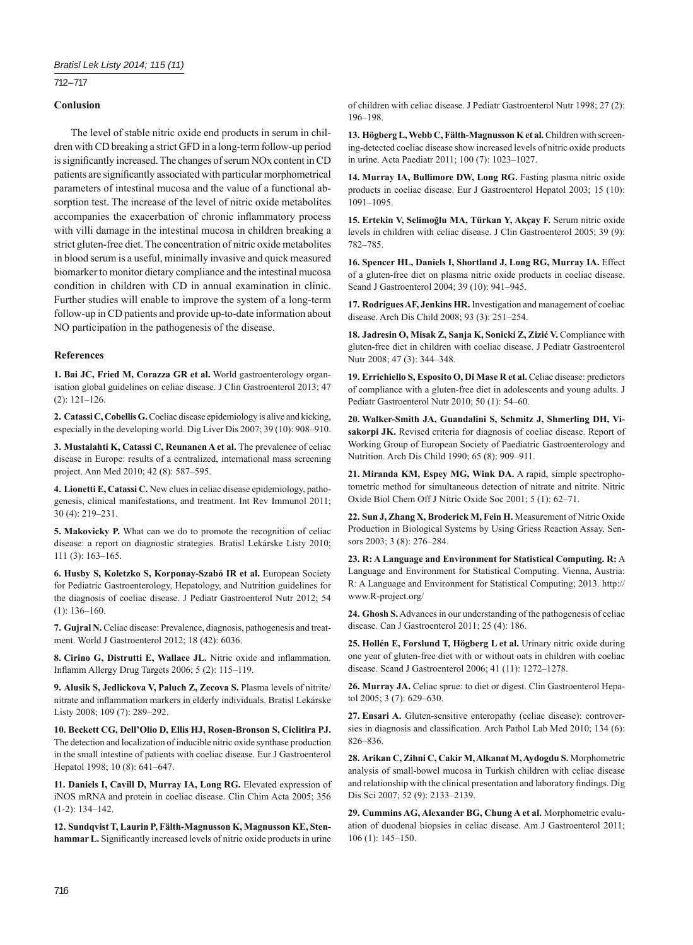### 712 – 717

### **Conlusion**

The level of stable nitric oxide end products in serum in children with CD breaking a strict GFD in a long-term follow-up period is significantly increased. The changes of serum NO<sub>x</sub> content in CD patients are significantly associated with particular morphometrical parameters of intestinal mucosa and the value of a functional absorption test. The increase of the level of nitric oxide metabolites accompanies the exacerbation of chronic inflammatory process with villi damage in the intestinal mucosa in children breaking a strict gluten-free diet. The concentration of nitric oxide metabolites in blood serum is a useful, minimally invasive and quick measured biomarker to monitor dietary compliance and the intestinal mucosa condition in children with CD in annual examination in clinic. Further studies will enable to improve the system of a long-term follow-up in CD patients and provide up-to-date information about NO participation in the pathogenesis of the disease.

#### **References**

**1. Bai JC, Fried M, Corazza GR et al.** World gastroenterology organisation global guidelines on celiac disease. J Clin Gastroenterol 2013; 47 (2): 121–126.

**2. Catassi C, Cobellis G.** Coeliac disease epidemiology is alive and kicking, especially in the developing world. Dig Liver Dis 2007; 39 (10): 908–910.

**3. Mustalahti K, Catassi C, Reunanen A et al.** The prevalence of celiac disease in Europe: results of a centralized, international mass screening project. Ann Med 2010; 42 (8): 587–595.

**4. Lionetti E, Catassi C.** New clues in celiac disease epidemiology, pathogenesis, clinical manifestations, and treatment. Int Rev Immunol 2011; 30 (4): 219–231.

**5. Makovicky P.** What can we do to promote the recognition of celiac disease: a report on diagnostic strategies. Bratisl Lekárske Listy 2010; 111 (3): 163–165.

**6. Husby S, Koletzko S, Korponay-Szabó IR et al.** European Society for Pediatric Gastroenterology, Hepatology, and Nutrition guidelines for the diagnosis of coeliac disease. J Pediatr Gastroenterol Nutr 2012; 54 (1): 136–160.

**7. Gujral N.** Celiac disease: Prevalence, diagnosis, pathogenesis and treatment. World J Gastroenterol 2012; 18 (42): 6036.

8. Cirino G, Distrutti E, Wallace JL. Nitric oxide and inflammation. Inflamm Allergy Drug Targets 2006; 5 (2): 115-119.

**9. Alusik S, Jedlickova V, Paluch Z, Zecova S.** Plasma levels of nitrite/ nitrate and inflammation markers in elderly individuals. Bratisl Lekárske Listy 2008; 109 (7): 289–292.

**10. Beckett CG, Dell'Olio D, Ellis HJ, Rosen-Bronson S, Ciclitira PJ.**  The detection and localization of inducible nitric oxide synthase production in the small intestine of patients with coeliac disease. Eur J Gastroenterol Hepatol 1998; 10 (8): 641–647.

**11. Daniels I, Cavill D, Murray IA, Long RG.** Elevated expression of iNOS mRNA and protein in coeliac disease. Clin Chim Acta 2005; 356 (1-2): 134–142.

**12. Sundqvist T, Laurin P, Fälth-Magnusson K, Magnusson KE, Sten**hammar L. Significantly increased levels of nitric oxide products in urine of children with celiac disease. J Pediatr Gastroenterol Nutr 1998; 27 (2): 196–198.

**13. Högberg L, Webb C, Fälth-Magnusson K et al.** Children with screening-detected coeliac disease show increased levels of nitric oxide products in urine. Acta Paediatr 2011; 100 (7): 1023–1027.

**14. Murray IA, Bullimore DW, Long RG.** Fasting plasma nitric oxide products in coeliac disease. Eur J Gastroenterol Hepatol 2003; 15 (10): 1091–1095.

**15. Ertekin V, Selimoğlu MA, Türkan Y, Akçay F.** Serum nitric oxide levels in children with celiac disease. J Clin Gastroenterol 2005; 39 (9): 782–785.

**16. Spencer HL, Daniels I, Shortland J, Long RG, Murray IA.** Effect of a gluten-free diet on plasma nitric oxide products in coeliac disease. Scand J Gastroenterol 2004; 39 (10): 941–945.

**17. Rodrigues AF, Jenkins HR.** Investigation and management of coeliac disease. Arch Dis Child 2008; 93 (3): 251–254.

**18. Jadresin O, Misak Z, Sanja K, Sonicki Z, Zizić V.** Compliance with gluten-free diet in children with coeliac disease. J Pediatr Gastroenterol Nutr 2008; 47 (3): 344–348.

**19. Errichiello S, Esposito O, Di Mase R et al.** Celiac disease: predictors of compliance with a gluten-free diet in adolescents and young adults. J Pediatr Gastroenterol Nutr 2010; 50 (1): 54–60.

**20. Walker-Smith JA, Guandalini S, Schmitz J, Shmerling DH, Vi**sakorpi JK. Revised criteria for diagnosis of coeliac disease. Report of Working Group of European Society of Paediatric Gastroenterology and Nutrition. Arch Dis Child 1990; 65 (8): 909–911.

**21. Miranda KM, Espey MG, Wink DA.** A rapid, simple spectrophotometric method for simultaneous detection of nitrate and nitrite. Nitric Oxide Biol Chem Off J Nitric Oxide Soc 2001; 5 (1): 62–71.

**22. Sun J, Zhang X, Broderick M, Fein H.** Measurement of Nitric Oxide Production in Biological Systems by Using Griess Reaction Assay. Sensors 2003; 3 (8): 276–284.

**23. R: A Language and Environment for Statistical Computing. R:** A Language and Environment for Statistical Computing. Vienna, Austria: R: A Language and Environment for Statistical Computing; 2013. http:// www.R-project.org/

**24. Ghosh S.** Advances in our understanding of the pathogenesis of celiac disease. Can J Gastroenterol 2011; 25 (4): 186.

**25. Hollén E, Forslund T, Högberg L et al.** Urinary nitric oxide during one year of gluten-free diet with or without oats in children with coeliac disease. Scand J Gastroenterol 2006; 41 (11): 1272–1278.

**26. Murray JA.** Celiac sprue: to diet or digest. Clin Gastroenterol Hepatol 2005; 3 (7): 629–630.

**27. Ensari A.** Gluten-sensitive enteropathy (celiac disease): controversies in diagnosis and classification. Arch Pathol Lab Med 2010; 134 (6): 826–836.

**28. Arikan C, Zihni C, Cakir M, Alkanat M, Aydogdu S.** Morphometric analysis of small-bowel mucosa in Turkish children with celiac disease and relationship with the clinical presentation and laboratory findings. Dig Dis Sci 2007; 52 (9): 2133–2139.

**29. Cummins AG, Alexander BG, Chung A et al.** Morphometric evaluation of duodenal biopsies in celiac disease. Am J Gastroenterol 2011; 106 (1): 145–150.